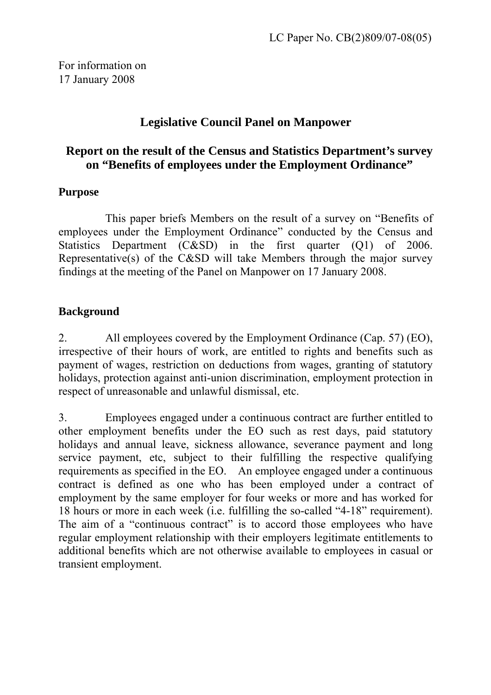For information on 17 January 2008

# **Legislative Council Panel on Manpower**

# **Report on the result of the Census and Statistics Department's survey on "Benefits of employees under the Employment Ordinance"**

## **Purpose**

 This paper briefs Members on the result of a survey on "Benefits of employees under the Employment Ordinance" conducted by the Census and Statistics Department (C&SD) in the first quarter (Q1) of 2006. Representative(s) of the C&SD will take Members through the major survey findings at the meeting of the Panel on Manpower on 17 January 2008.

# **Background**

2. All employees covered by the Employment Ordinance (Cap. 57) (EO), irrespective of their hours of work, are entitled to rights and benefits such as payment of wages, restriction on deductions from wages, granting of statutory holidays, protection against anti-union discrimination, employment protection in respect of unreasonable and unlawful dismissal, etc.

3. Employees engaged under a continuous contract are further entitled to other employment benefits under the EO such as rest days, paid statutory holidays and annual leave, sickness allowance, severance payment and long service payment, etc, subject to their fulfilling the respective qualifying requirements as specified in the EO. An employee engaged under a continuous contract is defined as one who has been employed under a contract of employment by the same employer for four weeks or more and has worked for 18 hours or more in each week (i.e. fulfilling the so-called "4-18" requirement). The aim of a "continuous contract" is to accord those employees who have regular employment relationship with their employers legitimate entitlements to additional benefits which are not otherwise available to employees in casual or transient employment.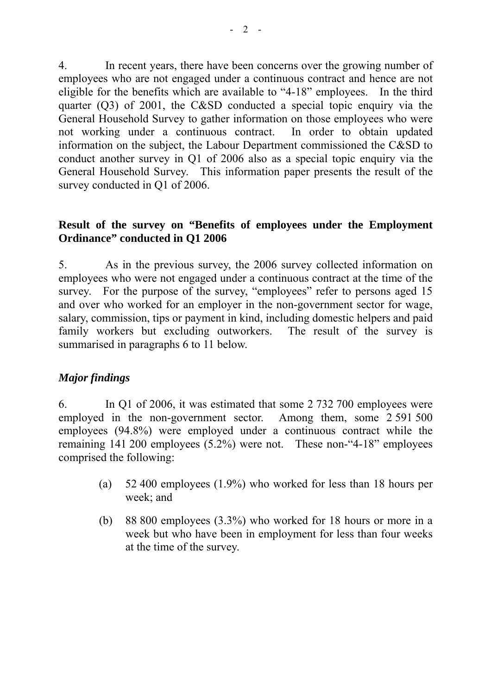4. In recent years, there have been concerns over the growing number of employees who are not engaged under a continuous contract and hence are not eligible for the benefits which are available to "4-18" employees. In the third quarter (Q3) of 2001, the C&SD conducted a special topic enquiry via the General Household Survey to gather information on those employees who were not working under a continuous contract. In order to obtain updated information on the subject, the Labour Department commissioned the C&SD to conduct another survey in Q1 of 2006 also as a special topic enquiry via the General Household Survey. This information paper presents the result of the survey conducted in Q1 of 2006.

## **Result of the survey on "Benefits of employees under the Employment Ordinance" conducted in Q1 2006**

5. As in the previous survey, the 2006 survey collected information on employees who were not engaged under a continuous contract at the time of the survey. For the purpose of the survey, "employees" refer to persons aged 15 and over who worked for an employer in the non-government sector for wage, salary, commission, tips or payment in kind, including domestic helpers and paid family workers but excluding outworkers. The result of the survey is summarised in paragraphs 6 to 11 below.

# *Major findings*

6. In Q1 of 2006, it was estimated that some 2 732 700 employees were employed in the non-government sector. Among them, some 2 591 500 employees (94.8%) were employed under a continuous contract while the remaining 141 200 employees (5.2%) were not. These non-"4-18" employees comprised the following:

- (a) 52 400 employees (1.9%) who worked for less than 18 hours per week; and
- (b) 88 800 employees (3.3%) who worked for 18 hours or more in a week but who have been in employment for less than four weeks at the time of the survey.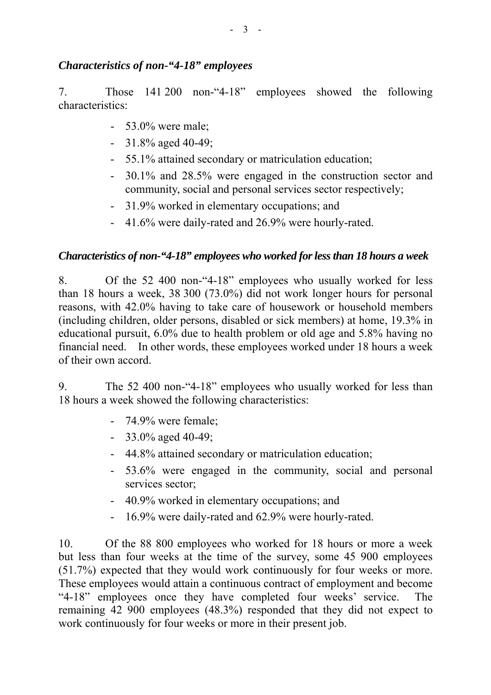## *Characteristics of non-"4-18" employees*

7. Those 141 200 non-"4-18" employees showed the following characteristics:

- 53.0% were male;
- 31.8% aged 40-49;
- 55.1% attained secondary or matriculation education;
- 30.1% and 28.5% were engaged in the construction sector and community, social and personal services sector respectively;
- 31.9% worked in elementary occupations; and
- 41.6% were daily-rated and 26.9% were hourly-rated.

# *Characteristics of non-*"4-18" employees who worked for less than 18 hours a week

8. Of the 52 400 non-"4-18" employees who usually worked for less than 18 hours a week, 38 300 (73.0%) did not work longer hours for personal reasons, with 42.0% having to take care of housework or household members (including children, older persons, disabled or sick members) at home, 19.3% in educational pursuit, 6.0% due to health problem or old age and 5.8% having no financial need. In other words, these employees worked under 18 hours a week of their own accord.

9. The 52 400 non-"4-18" employees who usually worked for less than 18 hours a week showed the following characteristics:

- 74.9% were female;
- $-33.0\%$  aged 40-49;
- 44.8% attained secondary or matriculation education;
- 53.6% were engaged in the community, social and personal services sector:
- 40.9% worked in elementary occupations; and
- 16.9% were daily-rated and 62.9% were hourly-rated.

10. Of the 88 800 employees who worked for 18 hours or more a week but less than four weeks at the time of the survey, some 45 900 employees (51.7%) expected that they would work continuously for four weeks or more. These employees would attain a continuous contract of employment and become "4-18" employees once they have completed four weeks' service. The remaining 42 900 employees (48.3%) responded that they did not expect to work continuously for four weeks or more in their present job.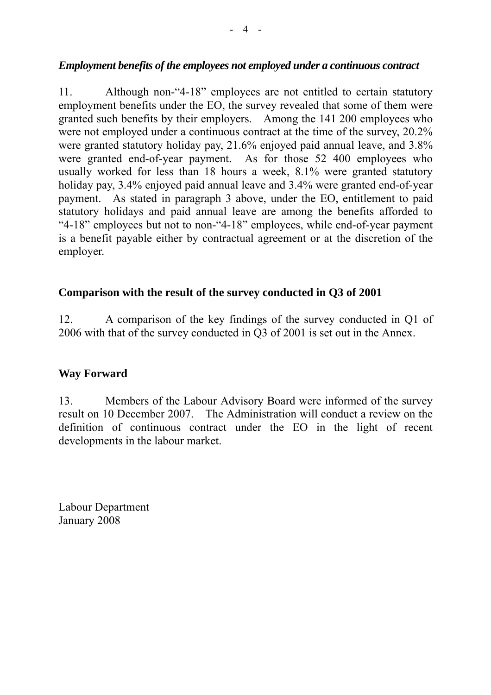#### *Employment benefits of the employees not employed under a continuous contract*

11. Although non-"4-18" employees are not entitled to certain statutory employment benefits under the EO, the survey revealed that some of them were granted such benefits by their employers. Among the 141 200 employees who were not employed under a continuous contract at the time of the survey, 20.2% were granted statutory holiday pay, 21.6% enjoyed paid annual leave, and 3.8% were granted end-of-year payment. As for those 52 400 employees who usually worked for less than 18 hours a week, 8.1% were granted statutory holiday pay, 3.4% enjoyed paid annual leave and 3.4% were granted end-of-year payment. As stated in paragraph 3 above, under the EO, entitlement to paid statutory holidays and paid annual leave are among the benefits afforded to "4-18" employees but not to non-"4-18" employees, while end-of-year payment is a benefit payable either by contractual agreement or at the discretion of the employer.

#### **Comparison with the result of the survey conducted in Q3 of 2001**

12. A comparison of the key findings of the survey conducted in Q1 of 2006 with that of the survey conducted in Q3 of 2001 is set out in the Annex.

#### **Way Forward**

13. Members of the Labour Advisory Board were informed of the survey result on 10 December 2007. The Administration will conduct a review on the definition of continuous contract under the EO in the light of recent developments in the labour market.

Labour Department January 2008